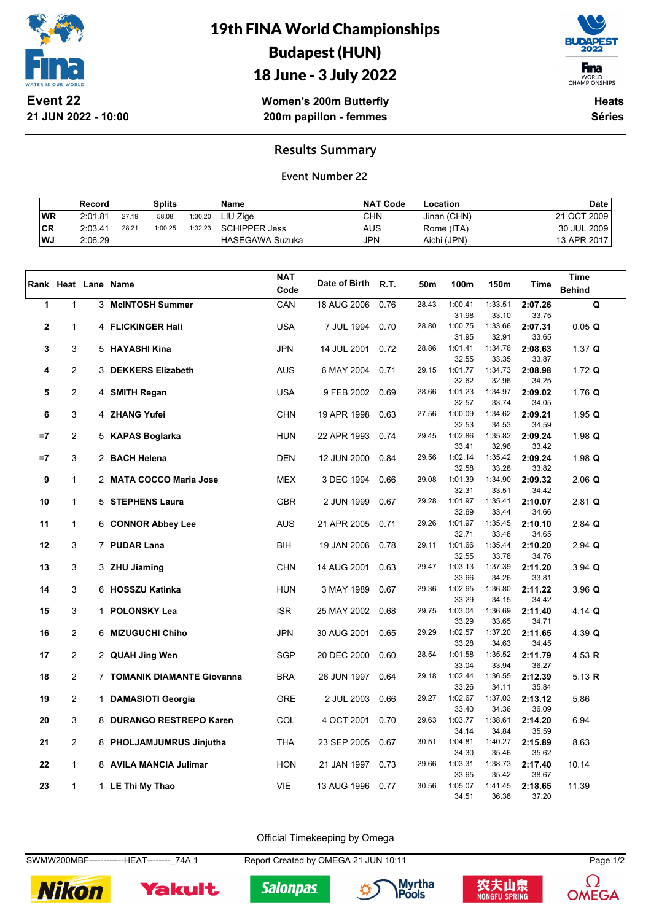

**21 JUN 2022 - 10:00**

# 19th FINA World Championships Budapest (HUN)



18 June - 3 July 2022

**Women's 200m Butterfly 200m papillon - femmes**

**Heats Séries**

### **Results Summary**

#### **Event Number 22**

|    | Record  |       | Splits  |         | Name                   | <b>NAT Code</b> | Location    | Date        |
|----|---------|-------|---------|---------|------------------------|-----------------|-------------|-------------|
| WR | 2:01.81 | 27.19 | 58.08   | 1:30.20 | LIU Ziae               | CHN             | Jinan (CHN) | 21 OCT 2009 |
| CR | 2:03.41 | 28.21 | 1:00.25 | 1:32.23 | SCHIPPER Jess          | AUS             | Rome (ITA)  | 30 JUL 2009 |
| WJ | 2:06.29 |       |         |         | <b>HASEGAWA Suzuka</b> | JPN             | Aichi (JPN) | 13 APR 2017 |

|              |                |              | Rank Heat Lane Name         | <b>NAT</b><br>Code | Date of Birth | R.T. | 50m   | 100m             | 150m             | <b>Time</b>      | Time<br><b>Behind</b> |
|--------------|----------------|--------------|-----------------------------|--------------------|---------------|------|-------|------------------|------------------|------------------|-----------------------|
| 1            | $\mathbf{1}$   |              | 3 McINTOSH Summer           | CAN                | 18 AUG 2006   | 0.76 | 28.43 | 1:00.41          | 1:33.51          | 2:07.26          | $\mathbf Q$           |
|              |                |              |                             |                    |               |      |       | 31.98            | 33.10            | 33.75            |                       |
| $\mathbf{2}$ | $\mathbf{1}$   |              | 4 FLICKINGER Hali           | <b>USA</b>         | 7 JUL 1994    | 0.70 | 28.80 | 1:00.75          | 1:33.66          | 2:07.31          | 0.05 Q                |
|              |                |              |                             |                    |               |      |       | 31.95            | 32.91            | 33.65            |                       |
| 3            | 3              |              | 5 HAYASHI Kina              | <b>JPN</b>         | 14 JUL 2001   | 0.72 | 28.86 | 1:01.41          | 1:34.76          | 2:08.63          | 1.37 Q                |
|              |                |              |                             |                    |               |      |       | 32.55            | 33.35            | 33.87            |                       |
| 4            | $\overline{2}$ |              | 3 DEKKERS Elizabeth         | <b>AUS</b>         | 6 MAY 2004    | 0.71 | 29.15 | 1:01.77          | 1:34.73          | 2:08.98          | $1.72$ Q              |
| 5            | $\overline{2}$ |              |                             | <b>USA</b>         |               | 0.69 | 28.66 | 32.62<br>1:01.23 | 32.96<br>1:34.97 | 34.25<br>2:09.02 | 1.76 $Q$              |
|              |                |              | 4 SMITH Regan               |                    | 9 FEB 2002    |      |       | 32.57            | 33.74            | 34.05            |                       |
| 6            | 3              |              | 4 ZHANG Yufei               | <b>CHN</b>         | 19 APR 1998   | 0.63 | 27.56 | 1:00.09          | 1:34.62          | 2:09.21          | 1.95 $Q$              |
|              |                |              |                             |                    |               |      |       | 32.53            | 34.53            | 34.59            |                       |
| $=7$         | $\overline{2}$ |              | 5 KAPAS Boglarka            | <b>HUN</b>         | 22 APR 1993   | 0.74 | 29.45 | 1:02.86          | 1:35.82          | 2:09.24          | 1.98 Q                |
|              |                |              |                             |                    |               |      |       | 33.41            | 32.96            | 33.42            |                       |
| $=7$         | 3              |              | 2 BACH Helena               | <b>DEN</b>         | 12 JUN 2000   | 0.84 | 29.56 | 1:02.14          | 1:35.42          | 2:09.24          | 1.98 $Q$              |
|              |                |              |                             |                    |               |      |       | 32.58            | 33.28            | 33.82            |                       |
| 9            | $\mathbf{1}$   |              | 2 MATA COCCO Maria Jose     | <b>MEX</b>         | 3 DEC 1994    | 0.66 | 29.08 | 1:01.39          | 1:34.90          | 2:09.32          | $2.06$ Q              |
|              |                |              |                             |                    |               |      |       | 32.31            | 33.51            | 34.42            |                       |
| 10           | $\mathbf{1}$   |              | 5 STEPHENS Laura            | <b>GBR</b>         | 2 JUN 1999    | 0.67 | 29.28 | 1:01.97          | 1:35.41          | 2:10.07          | $2.81$ Q              |
|              |                |              |                             |                    |               |      |       | 32.69            | 33.44            | 34.66            |                       |
| 11           | $\mathbf{1}$   |              | 6 CONNOR Abbey Lee          | <b>AUS</b>         | 21 APR 2005   | 0.71 | 29.26 | 1:01.97<br>32.71 | 1:35.45<br>33.48 | 2:10.10          | $2.84$ Q              |
| 12           | 3              |              | 7 PUDAR Lana                | <b>BIH</b>         | 19 JAN 2006   | 0.78 | 29.11 | 1:01.66          | 1:35.44          | 34.65<br>2:10.20 | $2.94$ Q              |
|              |                |              |                             |                    |               |      |       | 32.55            | 33.78            | 34.76            |                       |
| 13           | 3              |              | 3 ZHU Jiaming               | <b>CHN</b>         | 14 AUG 2001   | 0.63 | 29.47 | 1:03.13          | 1:37.39          | 2:11.20          | $3.94$ Q              |
|              |                |              |                             |                    |               |      |       | 33.66            | 34.26            | 33.81            |                       |
| 14           | 3              |              | 6 HOSSZU Katinka            | <b>HUN</b>         | 3 MAY 1989    | 0.67 | 29.36 | 1:02.65          | 1:36.80          | 2:11.22          | 3.96Q                 |
|              |                |              |                             |                    |               |      |       | 33.29            | 34.15            | 34.42            |                       |
| 15           | 3              |              | 1 POLONSKY Lea              | <b>ISR</b>         | 25 MAY 2002   | 0.68 | 29.75 | 1:03.04          | 1:36.69          | 2:11.40          | 4.14 Q                |
|              |                |              |                             |                    |               |      |       | 33.29            | 33.65            | 34.71            |                       |
| 16           | $\overline{2}$ |              | 6 MIZUGUCHI Chiho           | <b>JPN</b>         | 30 AUG 2001   | 0.65 | 29.29 | 1:02.57          | 1:37.20          | 2:11.65          | 4.39 Q                |
|              |                |              |                             |                    |               |      |       | 33.28            | 34.63            | 34.45            |                       |
| 17           | $\overline{2}$ |              | 2 QUAH Jing Wen             | <b>SGP</b>         | 20 DEC 2000   | 0.60 | 28.54 | 1:01.58<br>33.04 | 1:35.52<br>33.94 | 2:11.79          | 4.53 R                |
| 18           | $\overline{2}$ |              | 7 TOMANIK DIAMANTE Giovanna | <b>BRA</b>         |               | 0.64 | 29.18 | 1:02.44          | 1:36.55          | 36.27<br>2:12.39 | 5.13 $R$              |
|              |                |              |                             |                    | 26 JUN 1997   |      |       | 33.26            | 34.11            | 35.84            |                       |
| 19           | $\overline{2}$ | $\mathbf{1}$ | <b>DAMASIOTI Georgia</b>    | <b>GRE</b>         | 2 JUL 2003    | 0.66 | 29.27 | 1:02.67          | 1:37.03          | 2:13.12          | 5.86                  |
|              |                |              |                             |                    |               |      |       | 33.40            | 34.36            | 36.09            |                       |
| 20           | 3              |              | 8 DURANGO RESTREPO Karen    | COL                | 4 OCT 2001    | 0.70 | 29.63 | 1:03.77          | 1:38.61          | 2:14.20          | 6.94                  |
|              |                |              |                             |                    |               |      |       | 34.14            | 34.84            | 35.59            |                       |
| 21           | $\overline{2}$ |              | 8 PHOLJAMJUMRUS Jinjutha    | <b>THA</b>         | 23 SEP 2005   | 0.67 | 30.51 | 1:04.81          | 1:40.27          | 2:15.89          | 8.63                  |
|              |                |              |                             |                    |               |      |       | 34.30            | 35.46            | 35.62            |                       |
| 22           | $\mathbf{1}$   |              | 8 AVILA MANCIA Julimar      | <b>HON</b>         | 21 JAN 1997   | 0.73 | 29.66 | 1:03.31          | 1:38.73          | 2:17.40          | 10.14                 |
|              |                |              |                             |                    |               |      |       | 33.65            | 35.42            | 38.67            |                       |
| 23           | $\mathbf{1}$   |              | 1 LE Thi My Thao            | <b>VIE</b>         | 13 AUG 1996   | 0.77 | 30.56 | 1:05.07          | 1:41.45          | 2:18.65          | 11.39                 |
|              |                |              |                             |                    |               |      |       | 34.51            | 36.38            | 37.20            |                       |

Official Timekeeping by Omega

SWMW200MBF------------HEAT--------\_74A 1 Report Created by OMEGA 21 JUN 10:11 Page 1/2